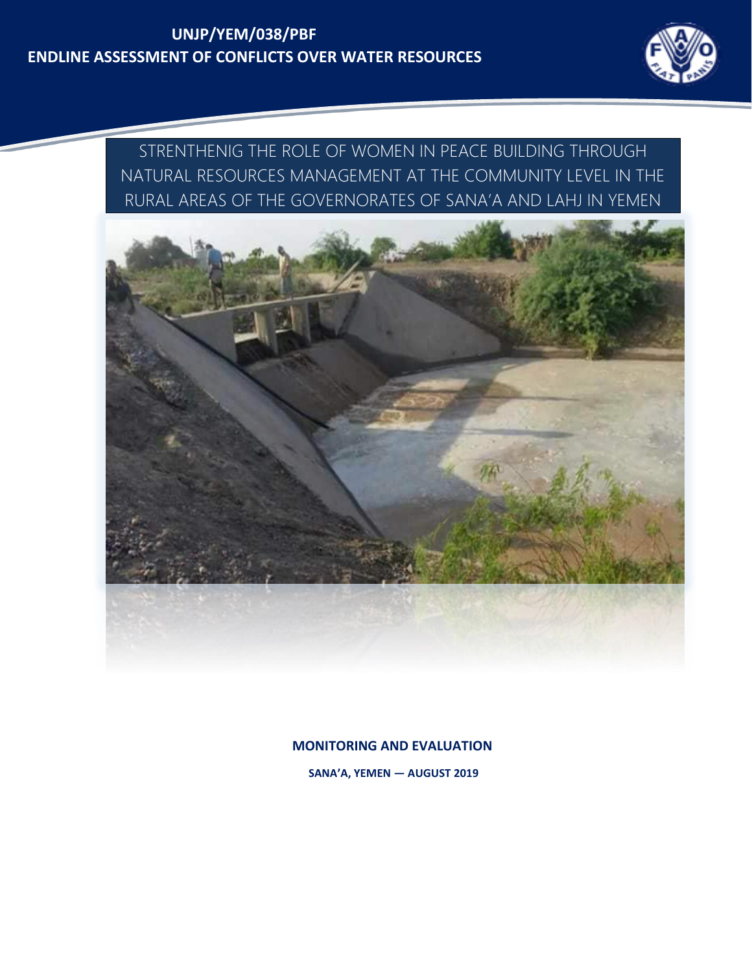## **UNJP/YEM/038/PBF ENDLINE ASSESSMENT OF CONFLICTS OVER WATER RESOURCES**



STRENTHENIG THE ROLE OF WOMEN IN PEACE BUILDING THROUGH NATURAL RESOURCES MANAGEMENT AT THE COMMUNITY LEVEL IN THE RURAL AREAS OF THE GOVERNORATES OF SANA'A AND LAHJ IN YEMEN



**MONITORING AND EVALUATION** 

**SANA'A, YEMEN — AUGUST 2019**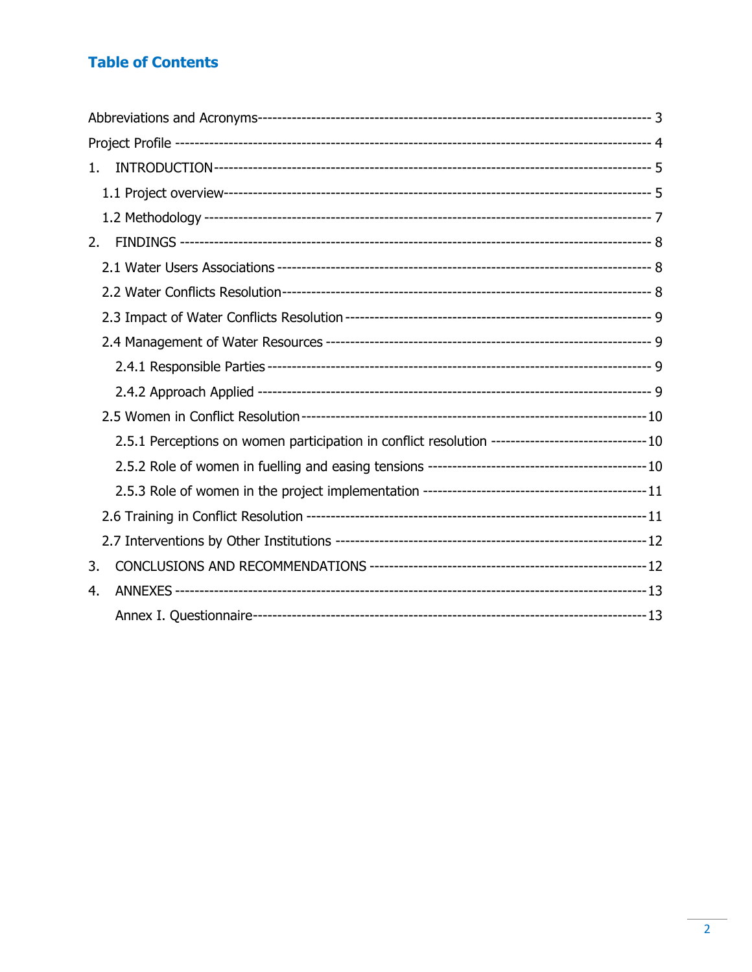### **Table of Contents**

| 1.                                                                                                  |  |
|-----------------------------------------------------------------------------------------------------|--|
|                                                                                                     |  |
|                                                                                                     |  |
| 2.                                                                                                  |  |
|                                                                                                     |  |
|                                                                                                     |  |
|                                                                                                     |  |
|                                                                                                     |  |
|                                                                                                     |  |
|                                                                                                     |  |
|                                                                                                     |  |
| 2.5.1 Perceptions on women participation in conflict resolution ---------------------------------10 |  |
|                                                                                                     |  |
|                                                                                                     |  |
|                                                                                                     |  |
|                                                                                                     |  |
| 3.                                                                                                  |  |
| 4.                                                                                                  |  |
|                                                                                                     |  |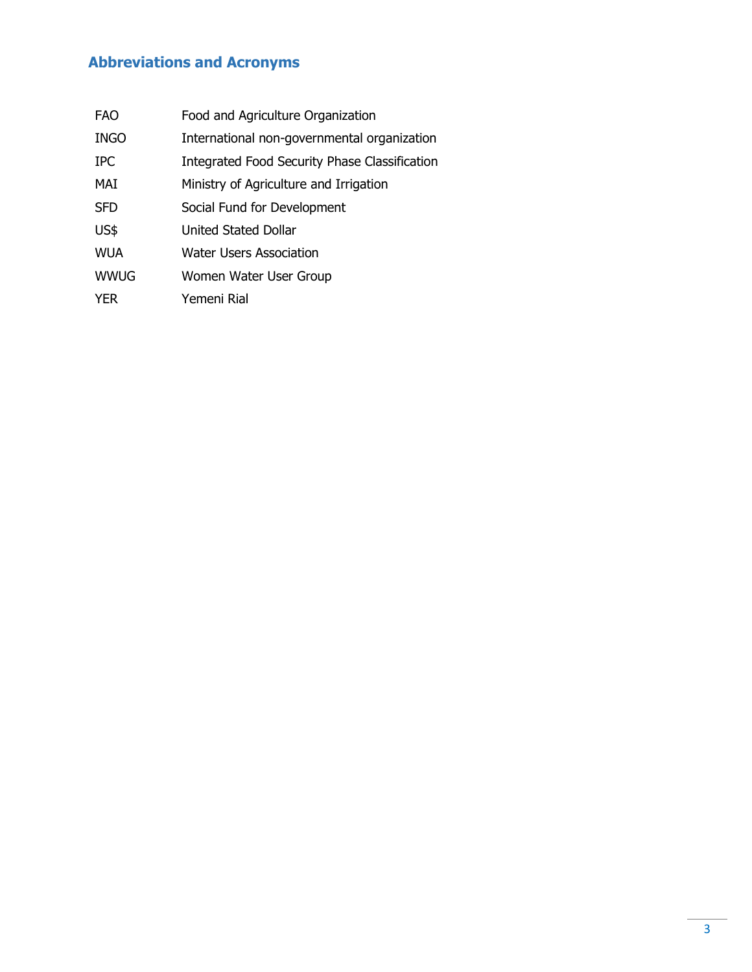# <span id="page-2-0"></span>**Abbreviations and Acronyms**

| FAO         | Food and Agriculture Organization                    |
|-------------|------------------------------------------------------|
| <b>INGO</b> | International non-governmental organization          |
| <b>IPC</b>  | <b>Integrated Food Security Phase Classification</b> |
| MAI         | Ministry of Agriculture and Irrigation               |
| <b>SFD</b>  | Social Fund for Development                          |
| US\$        | United Stated Dollar                                 |
| <b>WUA</b>  | <b>Water Users Association</b>                       |
| <b>WWUG</b> | Women Water User Group                               |
| <b>YER</b>  | Yemeni Rial                                          |
|             |                                                      |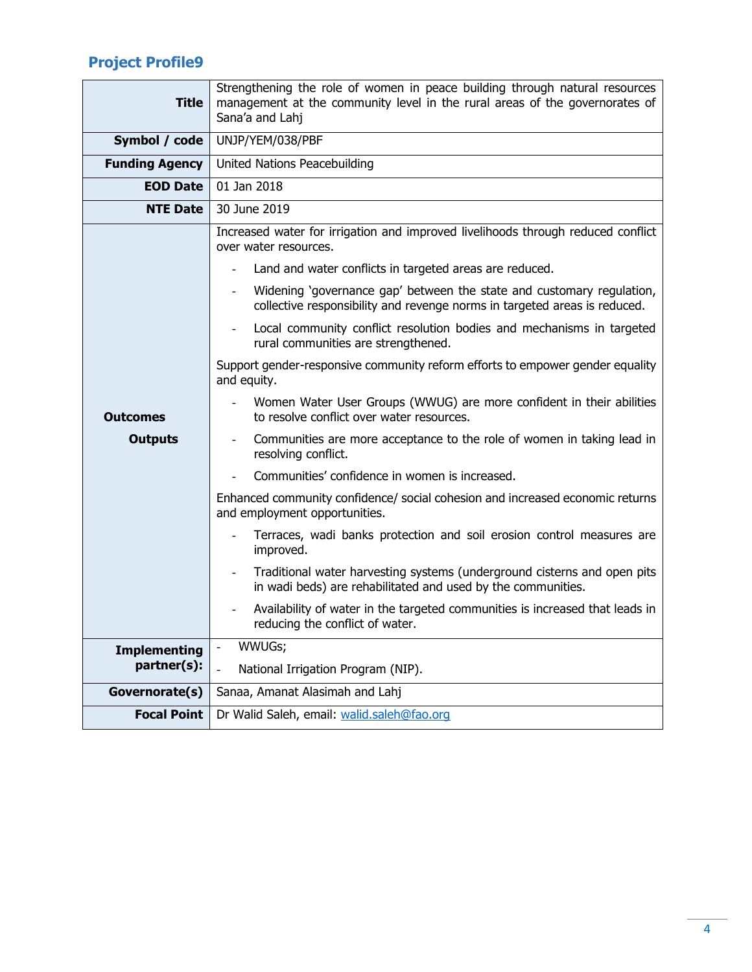# <span id="page-3-0"></span>**Project Profile9**

| <b>Title</b>          | Strengthening the role of women in peace building through natural resources<br>management at the community level in the rural areas of the governorates of<br>Sana'a and Lahj |  |  |  |
|-----------------------|-------------------------------------------------------------------------------------------------------------------------------------------------------------------------------|--|--|--|
| Symbol / code         | UNJP/YEM/038/PBF                                                                                                                                                              |  |  |  |
| <b>Funding Agency</b> | United Nations Peacebuilding                                                                                                                                                  |  |  |  |
| <b>EOD Date</b>       | 01 Jan 2018                                                                                                                                                                   |  |  |  |
| <b>NTE Date</b>       | 30 June 2019                                                                                                                                                                  |  |  |  |
|                       | Increased water for irrigation and improved livelihoods through reduced conflict<br>over water resources.                                                                     |  |  |  |
|                       | Land and water conflicts in targeted areas are reduced.                                                                                                                       |  |  |  |
|                       | Widening 'governance gap' between the state and customary regulation,<br>collective responsibility and revenge norms in targeted areas is reduced.                            |  |  |  |
|                       | Local community conflict resolution bodies and mechanisms in targeted<br>rural communities are strengthened.                                                                  |  |  |  |
|                       | Support gender-responsive community reform efforts to empower gender equality<br>and equity.                                                                                  |  |  |  |
| <b>Outcomes</b>       | Women Water User Groups (WWUG) are more confident in their abilities<br>to resolve conflict over water resources.                                                             |  |  |  |
| <b>Outputs</b>        | Communities are more acceptance to the role of women in taking lead in<br>$\overline{\phantom{a}}$<br>resolving conflict.                                                     |  |  |  |
|                       | Communities' confidence in women is increased.                                                                                                                                |  |  |  |
|                       | Enhanced community confidence/ social cohesion and increased economic returns<br>and employment opportunities.                                                                |  |  |  |
|                       | Terraces, wadi banks protection and soil erosion control measures are<br>improved.                                                                                            |  |  |  |
|                       | Traditional water harvesting systems (underground cisterns and open pits<br>$\overline{\phantom{a}}$<br>in wadi beds) are rehabilitated and used by the communities.          |  |  |  |
|                       | Availability of water in the targeted communities is increased that leads in<br>reducing the conflict of water.                                                               |  |  |  |
| <b>Implementing</b>   | WWUGs;<br>$\blacksquare$                                                                                                                                                      |  |  |  |
| partner(s):           | National Irrigation Program (NIP).                                                                                                                                            |  |  |  |
| Governorate(s)        | Sanaa, Amanat Alasimah and Lahj                                                                                                                                               |  |  |  |
| <b>Focal Point</b>    | Dr Walid Saleh, email: walid.saleh@fao.org                                                                                                                                    |  |  |  |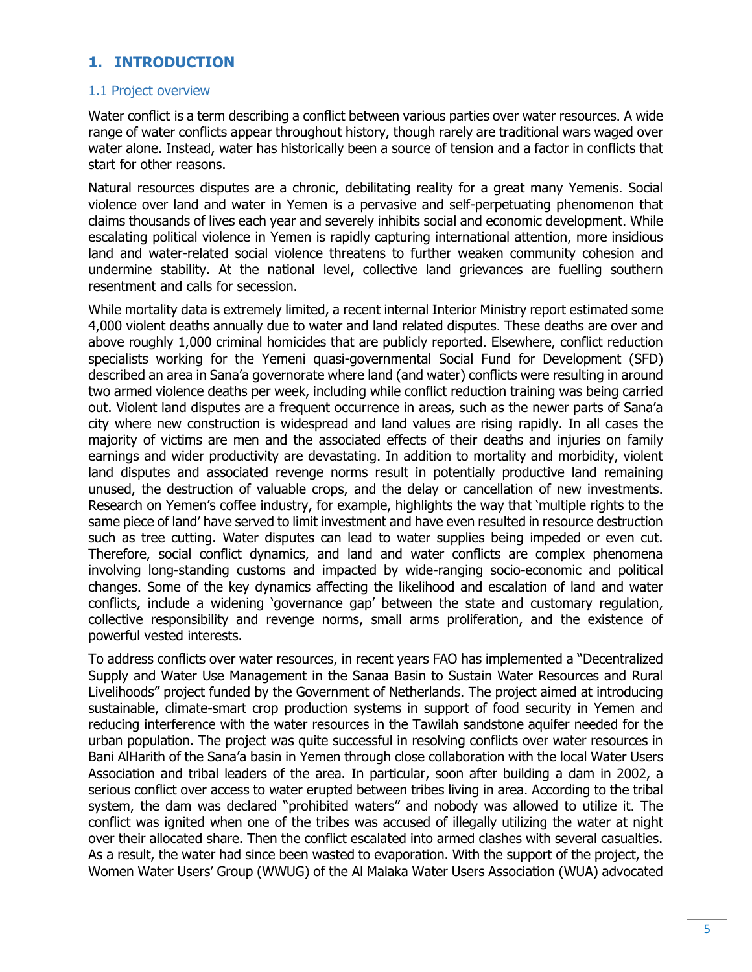### <span id="page-4-0"></span>**1. INTRODUCTION**

#### <span id="page-4-1"></span>1.1 Project overview

Water conflict is a term describing a conflict between various parties over water resources. A wide range of water conflicts appear throughout history, though rarely are traditional wars waged over water alone. Instead, water has historically been a source of tension and a factor in conflicts that start for other reasons.

Natural resources disputes are a chronic, debilitating reality for a great many Yemenis. Social violence over land and water in Yemen is a pervasive and self-perpetuating phenomenon that claims thousands of lives each year and severely inhibits social and economic development. While escalating political violence in Yemen is rapidly capturing international attention, more insidious land and water-related social violence threatens to further weaken community cohesion and undermine stability. At the national level, collective land grievances are fuelling southern resentment and calls for secession.

While mortality data is extremely limited, a recent internal Interior Ministry report estimated some 4,000 violent deaths annually due to water and land related disputes. These deaths are over and above roughly 1,000 criminal homicides that are publicly reported. Elsewhere, conflict reduction specialists working for the Yemeni quasi-governmental Social Fund for Development (SFD) described an area in Sana'a governorate where land (and water) conflicts were resulting in around two armed violence deaths per week, including while conflict reduction training was being carried out. Violent land disputes are a frequent occurrence in areas, such as the newer parts of Sana'a city where new construction is widespread and land values are rising rapidly. In all cases the majority of victims are men and the associated effects of their deaths and injuries on family earnings and wider productivity are devastating. In addition to mortality and morbidity, violent land disputes and associated revenge norms result in potentially productive land remaining unused, the destruction of valuable crops, and the delay or cancellation of new investments. Research on Yemen's coffee industry, for example, highlights the way that 'multiple rights to the same piece of land' have served to limit investment and have even resulted in resource destruction such as tree cutting. Water disputes can lead to water supplies being impeded or even cut. Therefore, social conflict dynamics, and land and water conflicts are complex phenomena involving long-standing customs and impacted by wide-ranging socio-economic and political changes. Some of the key dynamics affecting the likelihood and escalation of land and water conflicts, include a widening 'governance gap' between the state and customary regulation, collective responsibility and revenge norms, small arms proliferation, and the existence of powerful vested interests.

To address conflicts over water resources, in recent years FAO has implemented a "Decentralized Supply and Water Use Management in the Sanaa Basin to Sustain Water Resources and Rural Livelihoods" project funded by the Government of Netherlands. The project aimed at introducing sustainable, climate-smart crop production systems in support of food security in Yemen and reducing interference with the water resources in the Tawilah sandstone aquifer needed for the urban population. The project was quite successful in resolving conflicts over water resources in Bani AlHarith of the Sana'a basin in Yemen through close collaboration with the local Water Users Association and tribal leaders of the area. In particular, soon after building a dam in 2002, a serious conflict over access to water erupted between tribes living in area. According to the tribal system, the dam was declared "prohibited waters" and nobody was allowed to utilize it. The conflict was ignited when one of the tribes was accused of illegally utilizing the water at night over their allocated share. Then the conflict escalated into armed clashes with several casualties. As a result, the water had since been wasted to evaporation. With the support of the project, the Women Water Users' Group (WWUG) of the Al Malaka Water Users Association (WUA) advocated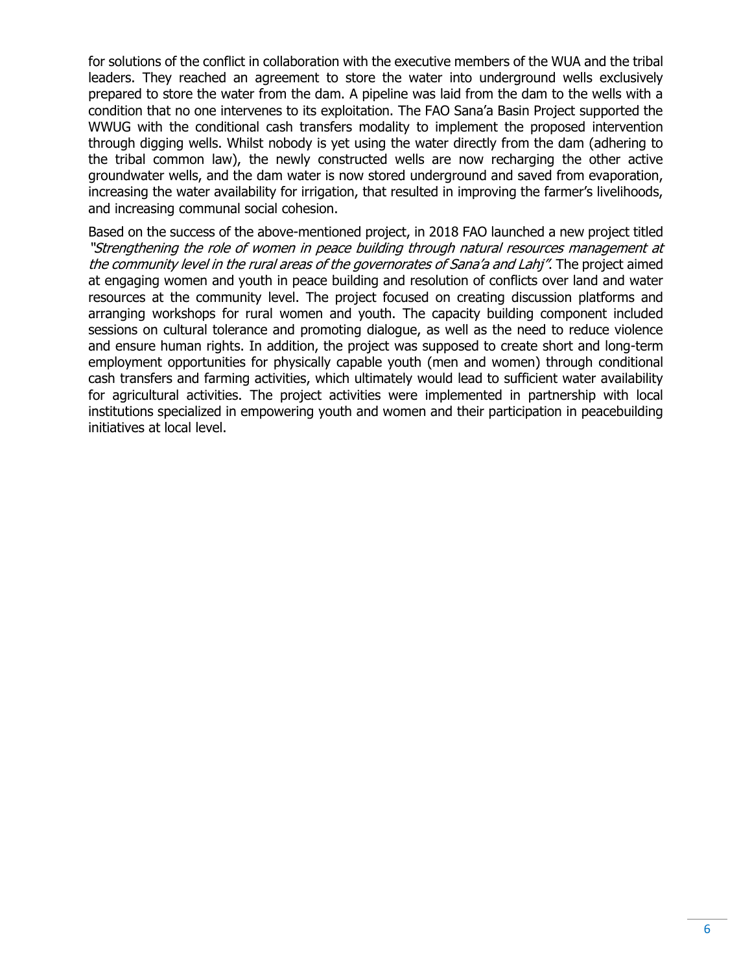for solutions of the conflict in collaboration with the executive members of the WUA and the tribal leaders. They reached an agreement to store the water into underground wells exclusively prepared to store the water from the dam. A pipeline was laid from the dam to the wells with a condition that no one intervenes to its exploitation. The FAO Sana'a Basin Project supported the WWUG with the conditional cash transfers modality to implement the proposed intervention through digging wells. Whilst nobody is yet using the water directly from the dam (adhering to the tribal common law), the newly constructed wells are now recharging the other active groundwater wells, and the dam water is now stored underground and saved from evaporation, increasing the water availability for irrigation, that resulted in improving the farmer's livelihoods, and increasing communal social cohesion.

Based on the success of the above-mentioned project, in 2018 FAO launched a new project titled "Strengthening the role of women in peace building through natural resources management at the community level in the rural areas of the governorates of Sana'a and Lahj". The project aimed at engaging women and youth in peace building and resolution of conflicts over land and water resources at the community level. The project focused on creating discussion platforms and arranging workshops for rural women and youth. The capacity building component included sessions on cultural tolerance and promoting dialogue, as well as the need to reduce violence and ensure human rights. In addition, the project was supposed to create short and long-term employment opportunities for physically capable youth (men and women) through conditional cash transfers and farming activities, which ultimately would lead to sufficient water availability for agricultural activities. The project activities were implemented in partnership with local institutions specialized in empowering youth and women and their participation in peacebuilding initiatives at local level.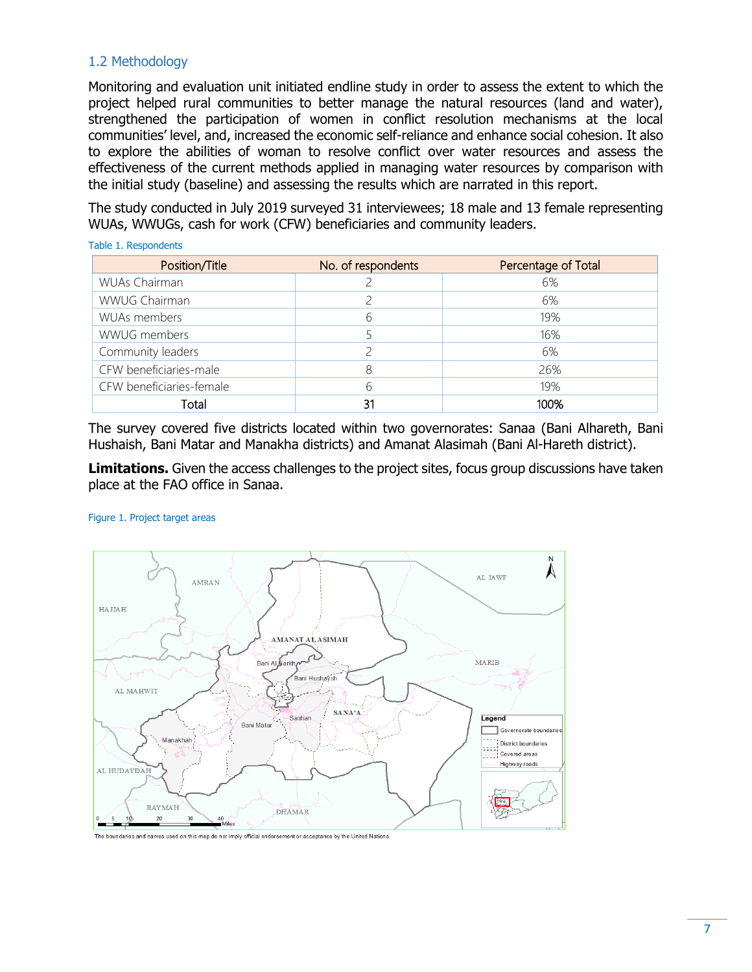#### <span id="page-6-0"></span>1.2 Methodology

Table 1. Respondents

Monitoring and evaluation unit initiated endline study in order to assess the extent to which the project helped rural communities to better manage the natural resources (land and water), strengthened the participation of women in conflict resolution mechanisms at the local communities' level, and, increased the economic self-reliance and enhance social cohesion. It also to explore the abilities of woman to resolve conflict over water resources and assess the effectiveness of the current methods applied in managing water resources by comparison with the initial study (baseline) and assessing the results which are narrated in this report.

The study conducted in July 2019 surveyed 31 interviewees; 18 male and 13 female representing WUAs, WWUGs, cash for work (CFW) beneficiaries and community leaders.

| Position/Title           | No. of respondents | Percentage of Total |
|--------------------------|--------------------|---------------------|
| WUAs Chairman            |                    | 6%                  |
| WWUG Chairman            |                    | 6%                  |
| WUAs members             | 6                  | 19%                 |
| WWUG members             |                    | 16%                 |
| Community leaders        |                    | 6%                  |
| CFW beneficiaries-male   | 8                  | 26%                 |
| CFW beneficiaries-female | 6                  | 19%                 |
| Total                    | 31                 | 100%                |

The survey covered five districts located within two governorates: Sanaa (Bani Alhareth, Bani Hushaish, Bani Matar and Manakha districts) and Amanat Alasimah (Bani Al-Hareth district).

**Limitations.** Given the access challenges to the project sites, focus group discussions have taken place at the FAO office in Sanaa.

#### Figure 1. Project target areas



The boundaries and names used on this map do not imply official endorsement or acceptance by the United Nations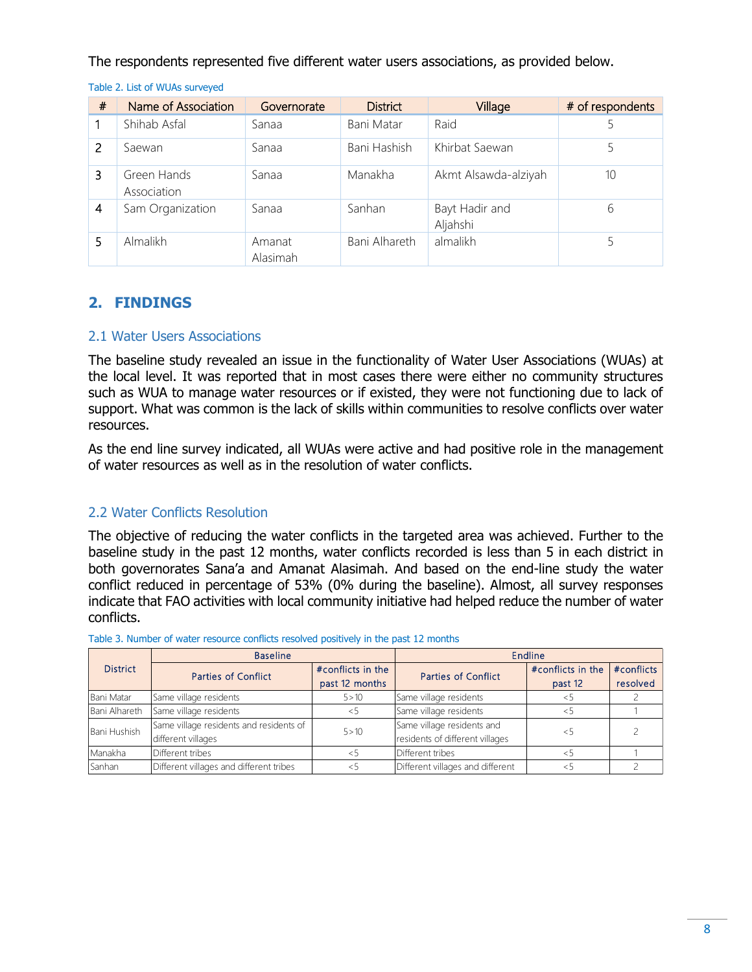The respondents represented five different water users associations, as provided below.

| # | Name of Association        | Governorate        | <b>District</b> | Village                    | # of respondents |
|---|----------------------------|--------------------|-----------------|----------------------------|------------------|
|   | Shihab Asfal               | Sanaa              | Bani Matar      | Raid                       |                  |
| 2 | Saewan                     | Sanaa              | Bani Hashish    | Khirbat Saewan             |                  |
| 3 | Green Hands<br>Association | Sanaa              | Manakha         | Akmt Alsawda-alziyah       | 10               |
| 4 | Sam Organization           | Sanaa              | Sanhan          | Bayt Hadir and<br>Aljahshi | 6                |
| 5 | Almalikh                   | Amanat<br>Alasimah | Bani Alhareth   | almalikh                   |                  |

Table 2. List of WUAs surveyed

### <span id="page-7-0"></span>**2. FINDINGS**

#### <span id="page-7-1"></span>2.1 Water Users Associations

The baseline study revealed an issue in the functionality of Water User Associations (WUAs) at the local level. It was reported that in most cases there were either no community structures such as WUA to manage water resources or if existed, they were not functioning due to lack of support. What was common is the lack of skills within communities to resolve conflicts over water resources.

As the end line survey indicated, all WUAs were active and had positive role in the management of water resources as well as in the resolution of water conflicts.

#### <span id="page-7-2"></span>2.2 Water Conflicts Resolution

The objective of reducing the water conflicts in the targeted area was achieved. Further to the baseline study in the past 12 months, water conflicts recorded is less than 5 in each district in both governorates Sana'a and Amanat Alasimah. And based on the end-line study the water conflict reduced in percentage of 53% (0% during the baseline). Almost, all survey responses indicate that FAO activities with local community initiative had helped reduce the number of water conflicts.

|                 | <b>Baseline</b>                         |                   | Endline                          |                   |            |
|-----------------|-----------------------------------------|-------------------|----------------------------------|-------------------|------------|
| <b>District</b> | <b>Parties of Conflict</b>              | #conflicts in the |                                  | #conflicts in the | #conflicts |
|                 |                                         | past 12 months    |                                  | past 12           | resolved   |
| Bani Matar      | Same village residents                  | 5 > 10            | Same village residents           | $\leq$            |            |
| Bani Alhareth   | Same village residents                  | 35                | Same village residents           | くう                |            |
| Bani Hushish    | Same village residents and residents of | 5 > 10            | Same village residents and       | $\leq 5$          |            |
|                 | different villages                      |                   | residents of different villages  |                   |            |
| Manakha         | Different tribes                        | $\leq 5$          | Different tribes                 | $\epsilon$        |            |
| Sanhan          | Different villages and different tribes | くっ                | Different villages and different | くト                |            |

Table 3. Number of water resource conflicts resolved positively in the past 12 months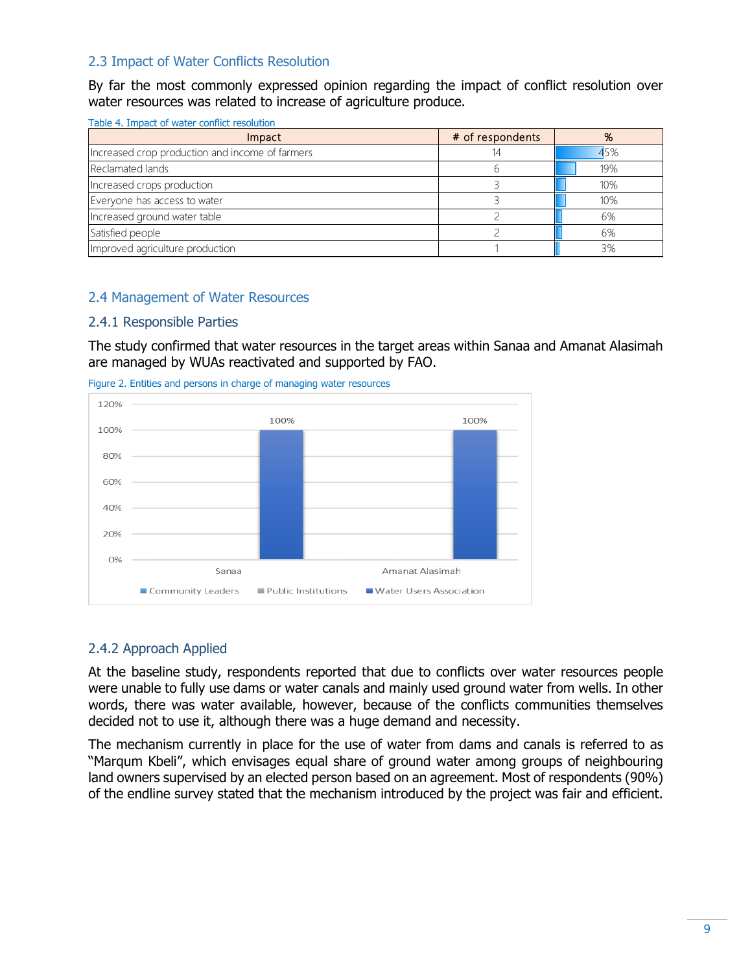#### <span id="page-8-0"></span>2.3 Impact of Water Conflicts Resolution

By far the most commonly expressed opinion regarding the impact of conflict resolution over water resources was related to increase of agriculture produce.

| Impact                                          | # of respondents | %   |
|-------------------------------------------------|------------------|-----|
| Increased crop production and income of farmers |                  | 45% |
| Reclamated lands                                |                  | 19% |
| Increased crops production                      |                  | 10% |
| Everyone has access to water                    |                  | 10% |
| Increased ground water table                    |                  | 6%  |
| Satisfied people                                |                  | 6%  |
| Improved agriculture production                 |                  | 3%  |

#### <span id="page-8-1"></span>2.4 Management of Water Resources

#### <span id="page-8-2"></span>2.4.1 Responsible Parties

The study confirmed that water resources in the target areas within Sanaa and Amanat Alasimah are managed by WUAs reactivated and supported by FAO.

Figure 2. Entities and persons in charge of managing water resources



#### <span id="page-8-3"></span>2.4.2 Approach Applied

At the baseline study, respondents reported that due to conflicts over water resources people were unable to fully use dams or water canals and mainly used ground water from wells. In other words, there was water available, however, because of the conflicts communities themselves decided not to use it, although there was a huge demand and necessity.

The mechanism currently in place for the use of water from dams and canals is referred to as "Marqum Kbeli", which envisages equal share of ground water among groups of neighbouring land owners supervised by an elected person based on an agreement. Most of respondents (90%) of the endline survey stated that the mechanism introduced by the project was fair and efficient.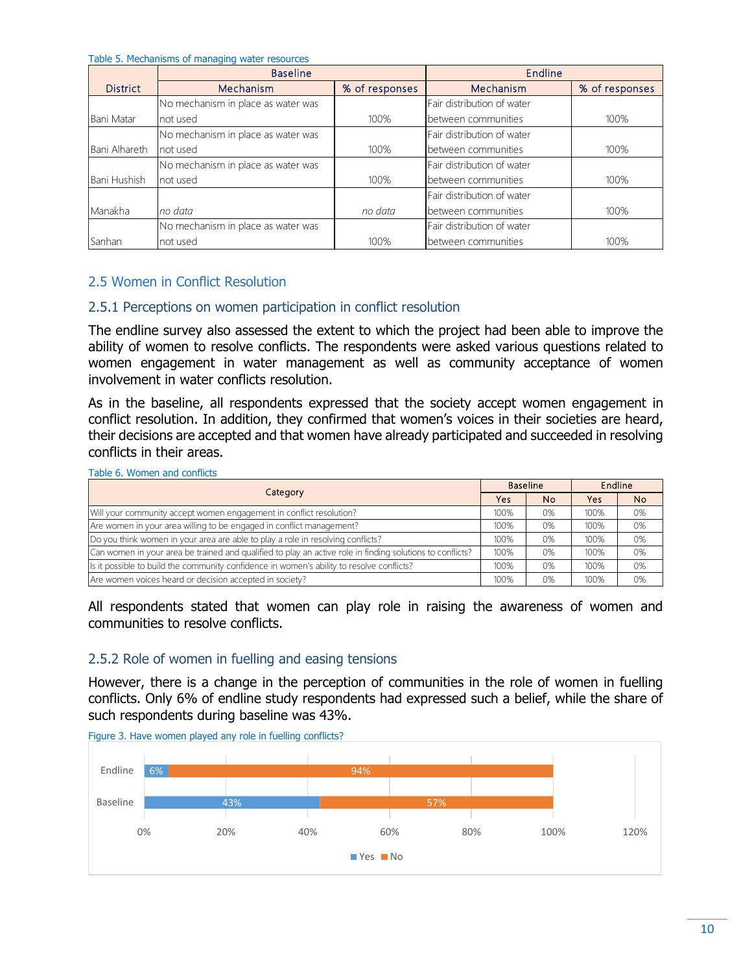Table 5. Mechanisms of managing water resources

|                 | <b>Baseline</b>                    |                | Endline                    |                |
|-----------------|------------------------------------|----------------|----------------------------|----------------|
| <b>District</b> | Mechanism                          | % of responses | Mechanism                  | % of responses |
|                 | No mechanism in place as water was |                | Fair distribution of water |                |
| Bani Matar      | not used                           | 100%           | between communities        | 100%           |
|                 | No mechanism in place as water was |                | Fair distribution of water |                |
| Bani Alhareth   | not used                           | 100%           | between communities        | 100%           |
|                 | No mechanism in place as water was |                | Fair distribution of water |                |
| Bani Hushish    | not used                           | 100%           | between communities        | 100%           |
|                 |                                    |                | Fair distribution of water |                |
| Manakha         | no data                            | no data        | between communities        | 100%           |
|                 | No mechanism in place as water was |                | Fair distribution of water |                |
| Sanhan          | not used                           | 100%           | between communities        | 100%           |

#### <span id="page-9-0"></span>2.5 Women in Conflict Resolution

#### <span id="page-9-1"></span>2.5.1 Perceptions on women participation in conflict resolution

The endline survey also assessed the extent to which the project had been able to improve the ability of women to resolve conflicts. The respondents were asked various questions related to women engagement in water management as well as community acceptance of women involvement in water conflicts resolution.

As in the baseline, all respondents expressed that the society accept women engagement in conflict resolution. In addition, they confirmed that women's voices in their societies are heard, conflicts in their areas.

| their decisions are accepted and that women have already participated and succeeded in resolving<br>conflicts in their areas. |                 |                |         |     |
|-------------------------------------------------------------------------------------------------------------------------------|-----------------|----------------|---------|-----|
| Table 6. Women and conflicts                                                                                                  |                 |                |         |     |
|                                                                                                                               | <b>Baseline</b> |                | Endline |     |
| Category                                                                                                                      | <b>Yes</b>      | N <sub>o</sub> | Yes     | No. |
| Will your community accept women engagement in conflict resolution?                                                           | 100%            | 0%             | 100%    | 0%  |
| Are women in your area willing to be engaged in conflict management?                                                          | 100%            | 0%             | 100%    | 0%  |
| Do you think women in your area are able to play a role in resolving conflicts?                                               | 100%            | 0%             | 100%    | 0%  |
| Can women in your area be trained and qualified to play an active role in finding solutions to conflicts?                     | 100%            | 0%             | 100%    | 0%  |
| Is it possible to build the community confidence in women's ability to resolve conflicts?                                     | 100%            | 0%             | 100%    | 0%  |
| Are women voices heard or decision accepted in society?                                                                       | 100%            | 0%             | 100%    | 0%  |

All respondents stated that women can play role in raising the awareness of women and communities to resolve conflicts.

#### <span id="page-9-2"></span>2.5.2 Role of women in fuelling and easing tensions

However, there is a change in the perception of communities in the role of women in fuelling conflicts. Only 6% of endline study respondents had expressed such a belief, while the share of such respondents during baseline was 43%.



Figure 3. Have women played any role in fuelling conflicts?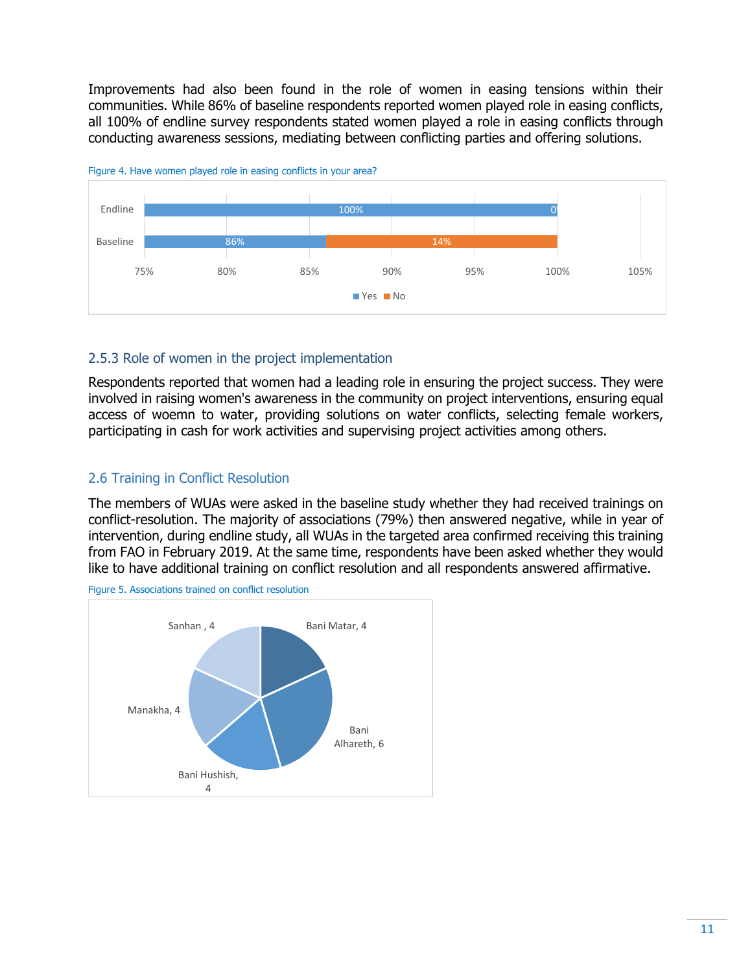Improvements had also been found in the role of women in easing tensions within their communities. While 86% of baseline respondents reported women played role in easing conflicts, all 100% of endline survey respondents stated women played a role in easing conflicts through conducting awareness sessions, mediating between conflicting parties and offering solutions.





#### <span id="page-10-0"></span>2.5.3 Role of women in the project implementation

Respondents reported that women had a leading role in ensuring the project success. They were involved in raising women's awareness in the community on project interventions, ensuring equal access of woemn to water, providing solutions on water conflicts, selecting female workers, participating in cash for work activities and supervising project activities among others.

#### <span id="page-10-1"></span>2.6 Training in Conflict Resolution

The members of WUAs were asked in the baseline study whether they had received trainings on conflict-resolution. The majority of associations (79%) then answered negative, while in year of intervention, during endline study, all WUAs in the targeted area confirmed receiving this training from FAO in February 2019. At the same time, respondents have been asked whether they would like to have additional training on conflict resolution and all respondents answered affirmative.



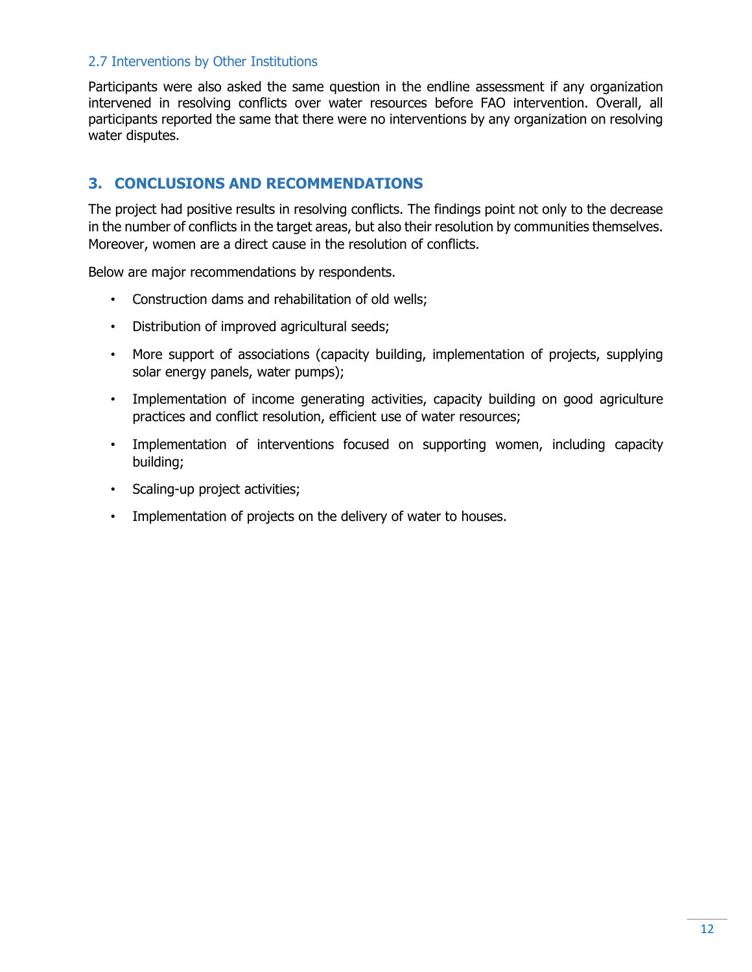#### <span id="page-11-0"></span>2.7 Interventions by Other Institutions

Participants were also asked the same question in the endline assessment if any organization intervened in resolving conflicts over water resources before FAO intervention. Overall, all participants reported the same that there were no interventions by any organization on resolving water disputes.

### <span id="page-11-1"></span>**3. CONCLUSIONS AND RECOMMENDATIONS**

The project had positive results in resolving conflicts. The findings point not only to the decrease in the number of conflicts in the target areas, but also their resolution by communities themselves. Moreover, women are a direct cause in the resolution of conflicts.

Below are major recommendations by respondents.

- Construction dams and rehabilitation of old wells;
- Distribution of improved agricultural seeds;
- More support of associations (capacity building, implementation of projects, supplying solar energy panels, water pumps);
- Implementation of income generating activities, capacity building on good agriculture practices and conflict resolution, efficient use of water resources;
- Implementation of interventions focused on supporting women, including capacity building;
- Scaling-up project activities;
- Implementation of projects on the delivery of water to houses.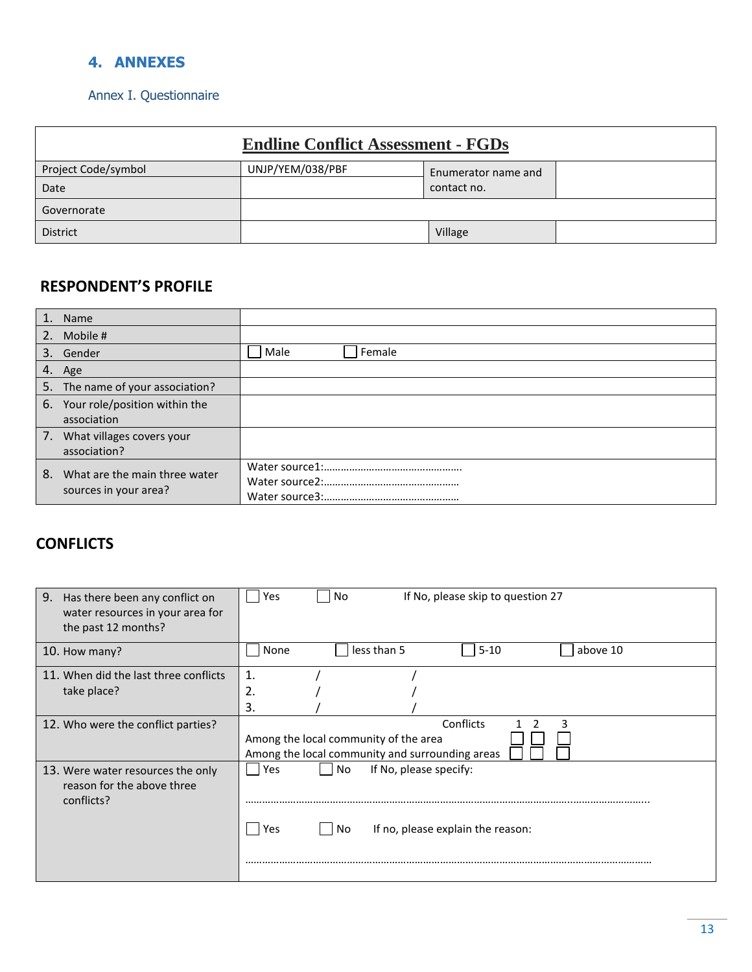### <span id="page-12-0"></span>**4. ANNEXES**

### <span id="page-12-1"></span>Annex I. Questionnaire

|                     | <b>Endline Conflict Assessment - FGDs</b> |                     |  |
|---------------------|-------------------------------------------|---------------------|--|
| Project Code/symbol | UNJP/YEM/038/PBF                          | Enumerator name and |  |
| Date                |                                           | contact no.         |  |
| Governorate         |                                           |                     |  |
| <b>District</b>     |                                           | Village             |  |

## **RESPONDENT'S PROFILE**

|    | 1. Name                                                |                |
|----|--------------------------------------------------------|----------------|
|    | 2. Mobile #                                            |                |
|    | 3. Gender                                              | Female<br>Male |
|    | 4. Age                                                 |                |
|    | 5. The name of your association?                       |                |
|    | 6. Your role/position within the<br>association        |                |
| 7. | What villages covers your<br>association?              |                |
| 8. | What are the main three water<br>sources in your area? |                |

## **CONFLICTS**

| 9. Has there been any conflict on<br>water resources in your area for<br>the past 12 months? | No<br>If No, please skip to question 27<br>Yes                                                             |
|----------------------------------------------------------------------------------------------|------------------------------------------------------------------------------------------------------------|
| 10. How many?                                                                                | less than 5<br>$5 - 10$<br>above 10<br>None                                                                |
| 11. When did the last three conflicts<br>take place?                                         | $\mathbf{1}$<br>2.<br>3.                                                                                   |
| 12. Who were the conflict parties?                                                           | Conflicts<br>₹<br>Among the local community of the area<br>Among the local community and surrounding areas |
| 13. Were water resources the only<br>reason for the above three<br>conflicts?                | No.<br>If No, please specify:<br>Yes<br>If no, please explain the reason:<br>Yes<br>l No                   |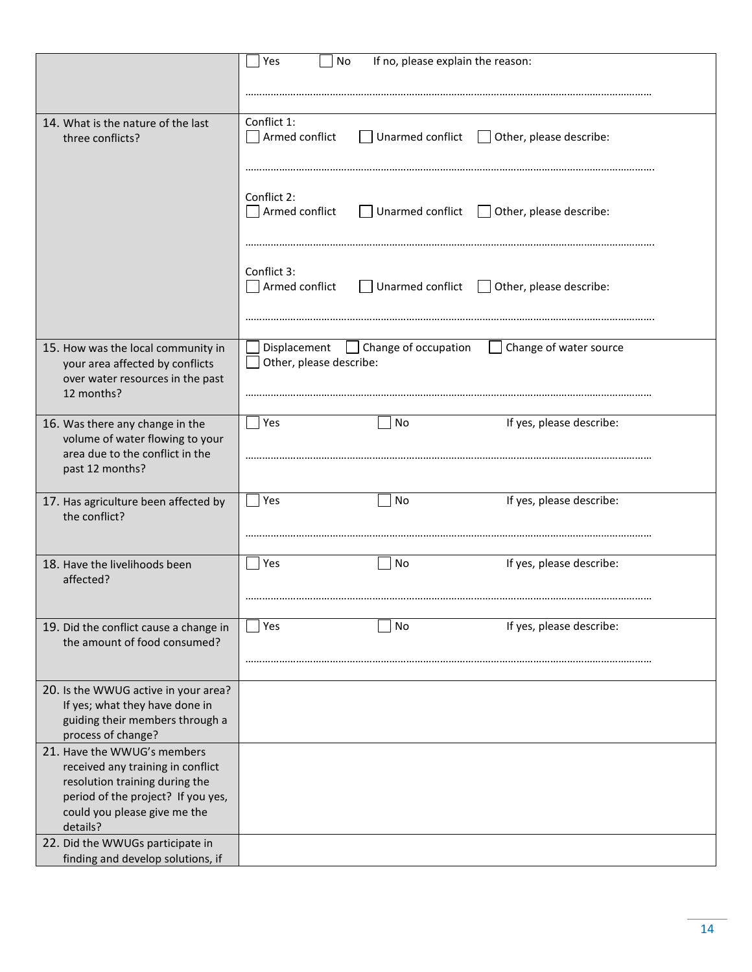|                                                                     | Yes<br>No<br>If no, please explain the reason:                                |
|---------------------------------------------------------------------|-------------------------------------------------------------------------------|
|                                                                     |                                                                               |
|                                                                     |                                                                               |
| 14. What is the nature of the last                                  | Conflict 1:                                                                   |
| three conflicts?                                                    | Armed conflict<br>Unarmed conflict<br>Other, please describe:<br>$\mathbf{1}$ |
|                                                                     |                                                                               |
|                                                                     |                                                                               |
|                                                                     |                                                                               |
|                                                                     | Conflict 2:                                                                   |
|                                                                     | Armed conflict<br>Unarmed conflict $\Box$<br>Other, please describe:          |
|                                                                     |                                                                               |
|                                                                     |                                                                               |
|                                                                     |                                                                               |
|                                                                     | Conflict 3:                                                                   |
|                                                                     | Armed conflict<br>Unarmed conflict $\Box$ Other, please describe:             |
|                                                                     |                                                                               |
|                                                                     |                                                                               |
| 15. How was the local community in                                  | Displacement<br>Change of occupation<br>Change of water source                |
| your area affected by conflicts                                     | Other, please describe:                                                       |
| over water resources in the past                                    |                                                                               |
| 12 months?                                                          |                                                                               |
|                                                                     |                                                                               |
| 16. Was there any change in the                                     | Yes<br>If yes, please describe:<br>No                                         |
| volume of water flowing to your                                     |                                                                               |
| area due to the conflict in the                                     |                                                                               |
| past 12 months?                                                     |                                                                               |
|                                                                     |                                                                               |
| 17. Has agriculture been affected by                                | If yes, please describe:<br>Yes<br>No                                         |
| the conflict?                                                       |                                                                               |
|                                                                     |                                                                               |
|                                                                     |                                                                               |
| 18. Have the livelihoods been                                       | Yes<br>If yes, please describe:<br>No                                         |
| affected?                                                           |                                                                               |
|                                                                     |                                                                               |
|                                                                     |                                                                               |
| 19. Did the conflict cause a change in                              | If yes, please describe:<br>Yes<br>No                                         |
| the amount of food consumed?                                        |                                                                               |
|                                                                     |                                                                               |
|                                                                     |                                                                               |
| 20. Is the WWUG active in your area?                                |                                                                               |
| If yes; what they have done in                                      |                                                                               |
| guiding their members through a                                     |                                                                               |
| process of change?                                                  |                                                                               |
| 21. Have the WWUG's members                                         |                                                                               |
| received any training in conflict<br>resolution training during the |                                                                               |
| period of the project? If you yes,                                  |                                                                               |
| could you please give me the                                        |                                                                               |
| details?                                                            |                                                                               |
| 22. Did the WWUGs participate in                                    |                                                                               |
| finding and develop solutions, if                                   |                                                                               |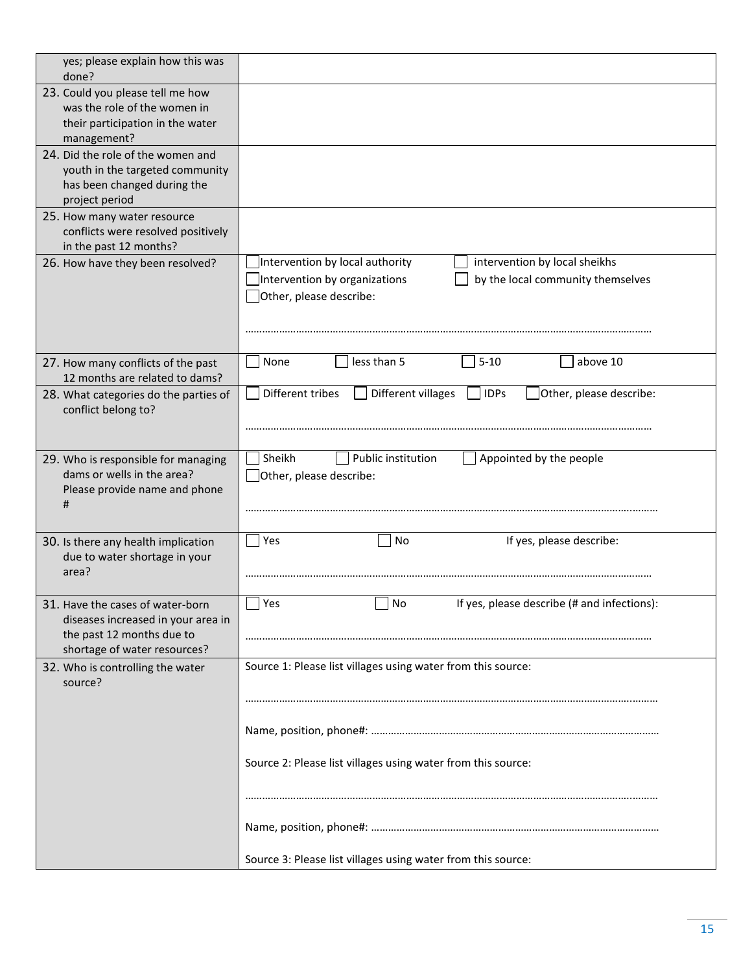| yes; please explain how this was<br>done?                                                                                           |                                                                                                                                                                   |
|-------------------------------------------------------------------------------------------------------------------------------------|-------------------------------------------------------------------------------------------------------------------------------------------------------------------|
| 23. Could you please tell me how<br>was the role of the women in<br>their participation in the water<br>management?                 |                                                                                                                                                                   |
| 24. Did the role of the women and<br>youth in the targeted community<br>has been changed during the<br>project period               |                                                                                                                                                                   |
| 25. How many water resource<br>conflicts were resolved positively<br>in the past 12 months?                                         |                                                                                                                                                                   |
| 26. How have they been resolved?                                                                                                    | Intervention by local authority<br>intervention by local sheikhs<br>Intervention by organizations<br>by the local community themselves<br>Other, please describe: |
| 27. How many conflicts of the past<br>12 months are related to dams?                                                                | less than 5<br>$5 - 10$<br>above 10<br>None                                                                                                                       |
| 28. What categories do the parties of<br>conflict belong to?                                                                        | Different tribes<br>Different villages<br>Other, please describe:<br><b>IDPs</b>                                                                                  |
| 29. Who is responsible for managing<br>dams or wells in the area?<br>Please provide name and phone<br>#                             | Sheikh<br>Public institution<br>Appointed by the people<br>Other, please describe:                                                                                |
| 30. Is there any health implication<br>due to water shortage in your<br>area?                                                       | Yes<br>If yes, please describe:<br>No                                                                                                                             |
| 31. Have the cases of water-born<br>diseases increased in your area in<br>the past 12 months due to<br>shortage of water resources? | If yes, please describe (# and infections):<br>Yes<br>No                                                                                                          |
| 32. Who is controlling the water<br>source?                                                                                         | Source 1: Please list villages using water from this source:                                                                                                      |
|                                                                                                                                     |                                                                                                                                                                   |
|                                                                                                                                     | Source 2: Please list villages using water from this source:                                                                                                      |
|                                                                                                                                     |                                                                                                                                                                   |
|                                                                                                                                     | Source 3: Please list villages using water from this source:                                                                                                      |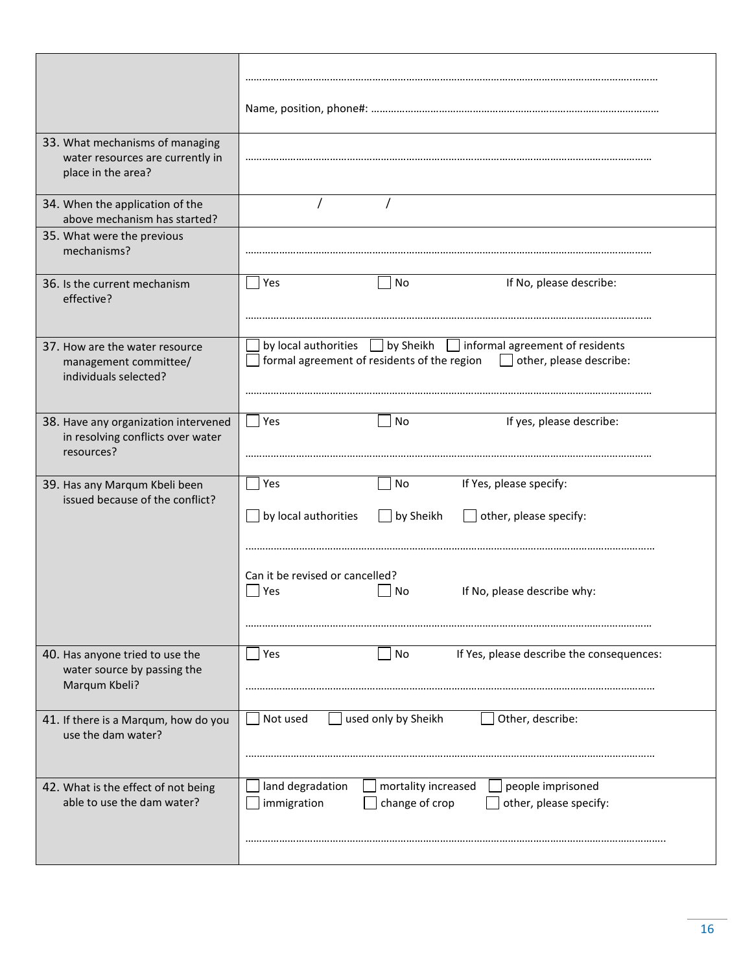| 33. What mechanisms of managing<br>water resources are currently in<br>place in the area? |                                                                                                                                                  |
|-------------------------------------------------------------------------------------------|--------------------------------------------------------------------------------------------------------------------------------------------------|
| 34. When the application of the<br>above mechanism has started?                           |                                                                                                                                                  |
| 35. What were the previous<br>mechanisms?                                                 |                                                                                                                                                  |
| 36. Is the current mechanism<br>effective?                                                | If No, please describe:<br>Yes<br>No                                                                                                             |
| 37. How are the water resource<br>management committee/<br>individuals selected?          | by local authorities   by Sheikh   informal agreement of residents<br>formal agreement of residents of the region $\Box$ other, please describe: |
| 38. Have any organization intervened<br>in resolving conflicts over water<br>resources?   | If yes, please describe:<br>Yes<br>No                                                                                                            |
| 39. Has any Marqum Kbeli been<br>issued because of the conflict?                          | If Yes, please specify:<br>Yes<br>No                                                                                                             |
|                                                                                           | by local authorities<br>by Sheikh<br>other, please specify:                                                                                      |
|                                                                                           | Can it be revised or cancelled?<br>If No, please describe why:<br>Yes<br>No                                                                      |
| 40. Has anyone tried to use the<br>water source by passing the<br>Marqum Kbeli?           | If Yes, please describe the consequences:<br>Yes<br>No                                                                                           |
| 41. If there is a Marqum, how do you<br>use the dam water?                                | used only by Sheikh<br>Other, describe:<br>Not used                                                                                              |
| 42. What is the effect of not being<br>able to use the dam water?                         | land degradation<br>mortality increased<br>people imprisoned<br>change of crop<br>immigration<br>other, please specify:                          |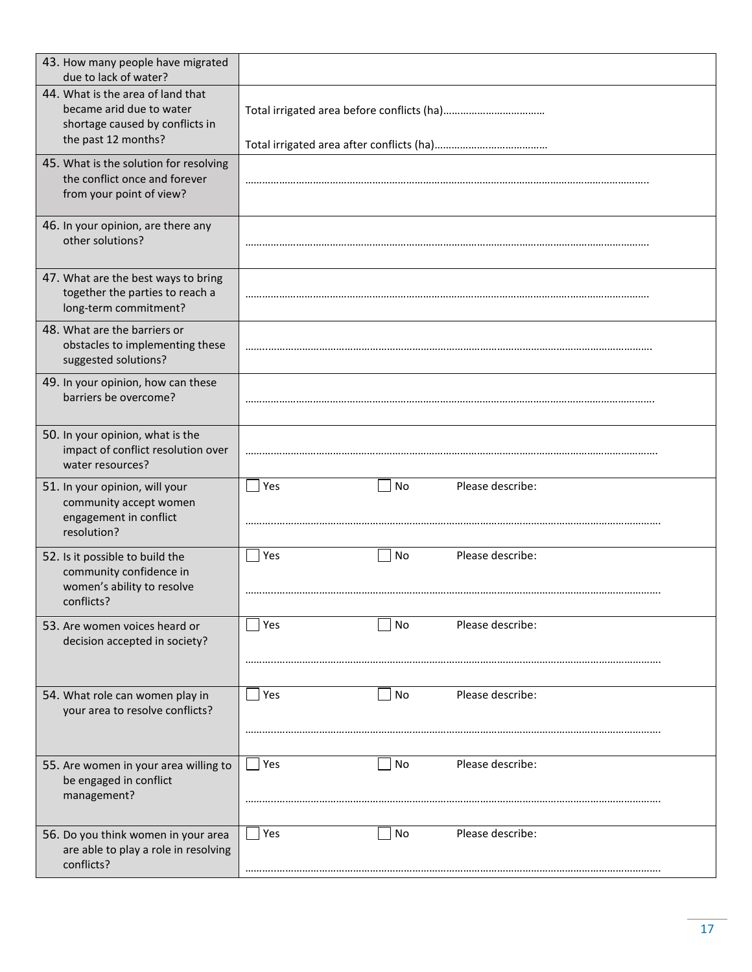| 43. How many people have migrated<br>due to lack of water?                                                              |                               |
|-------------------------------------------------------------------------------------------------------------------------|-------------------------------|
| 44. What is the area of land that<br>became arid due to water<br>shortage caused by conflicts in<br>the past 12 months? |                               |
|                                                                                                                         |                               |
| 45. What is the solution for resolving<br>the conflict once and forever<br>from your point of view?                     |                               |
| 46. In your opinion, are there any<br>other solutions?                                                                  |                               |
| 47. What are the best ways to bring<br>together the parties to reach a<br>long-term commitment?                         |                               |
| 48. What are the barriers or<br>obstacles to implementing these<br>suggested solutions?                                 |                               |
| 49. In your opinion, how can these<br>barriers be overcome?                                                             |                               |
| 50. In your opinion, what is the<br>impact of conflict resolution over<br>water resources?                              |                               |
| 51. In your opinion, will your<br>community accept women<br>engagement in conflict<br>resolution?                       | Please describe:<br>Yes<br>No |
| 52. Is it possible to build the<br>community confidence in<br>women's ability to resolve<br>conflicts?                  | Please describe:<br>Yes<br>No |
| 53. Are women voices heard or<br>decision accepted in society?                                                          | Please describe:<br>Yes<br>No |
| 54. What role can women play in<br>your area to resolve conflicts?                                                      | Please describe:<br>Yes<br>No |
| 55. Are women in your area willing to<br>be engaged in conflict<br>management?                                          | Please describe:<br>Yes<br>No |
| 56. Do you think women in your area<br>are able to play a role in resolving<br>conflicts?                               | Please describe:<br>Yes<br>No |